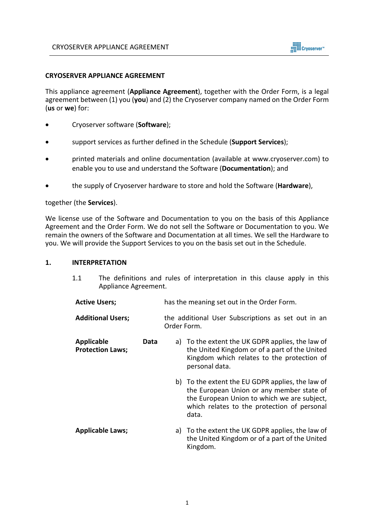

### **CRYOSERVER APPLIANCE AGREEMENT**

This appliance agreement (**Appliance Agreement**), together with the Order Form, is a legal agreement between (1) you (**you**) and (2) the Cryoserver company named on the Order Form (**us** or **we**) for:

- Cryoserver software (**Software**);
- support services as further defined in the Schedule (**Support Services**);
- printed materials and online documentation (available at www.cryoserver.com) to enable you to use and understand the Software (**Documentation**); and
- the supply of Cryoserver hardware to store and hold the Software (**Hardware**),

#### together (the **Services**).

We license use of the Software and Documentation to you on the basis of this Appliance Agreement and the Order Form. We do not sell the Software or Documentation to you. We remain the owners of the Software and Documentation at all times. We sell the Hardware to you. We will provide the Support Services to you on the basis set out in the Schedule.

### **1. INTERPRETATION**

- 1.1 The definitions and rules of interpretation in this clause apply in this Appliance Agreement.
- **Active Users;** has the meaning set out in the Order Form.
- **Additional Users;** the additional User Subscriptions as set out in an Order Form.
- **Applicable Data Protection Laws;** a) To the extent the UK GDPR applies, the law of the United Kingdom or of a part of the United Kingdom which relates to the protection of personal data.
	- b) To the extent the EU GDPR applies, the law of the European Union or any member state of the European Union to which we are subject, which relates to the protection of personal data.
- **Applicable Laws;** a) To the extent the UK GDPR applies, the law of the United Kingdom or of a part of the United Kingdom.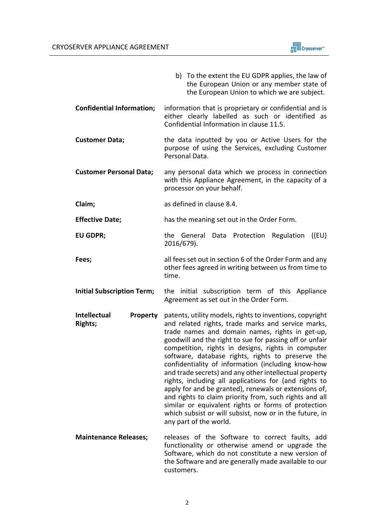

|                                                   | b) To the extent the EU GDPR applies, the law of<br>the European Union or any member state of<br>the European Union to which we are subject.                                                                                                                                                                                                                                                                                                                                                                                                                                                                                                                                                                                                                                    |  |
|---------------------------------------------------|---------------------------------------------------------------------------------------------------------------------------------------------------------------------------------------------------------------------------------------------------------------------------------------------------------------------------------------------------------------------------------------------------------------------------------------------------------------------------------------------------------------------------------------------------------------------------------------------------------------------------------------------------------------------------------------------------------------------------------------------------------------------------------|--|
| <b>Confidential Information;</b>                  | information that is proprietary or confidential and is<br>either clearly labelled as such or identified as<br>Confidential Information in clause 11.5.                                                                                                                                                                                                                                                                                                                                                                                                                                                                                                                                                                                                                          |  |
| <b>Customer Data;</b>                             | the data inputted by you or Active Users for the<br>purpose of using the Services, excluding Customer<br>Personal Data.                                                                                                                                                                                                                                                                                                                                                                                                                                                                                                                                                                                                                                                         |  |
| <b>Customer Personal Data;</b>                    | any personal data which we process in connection<br>with this Appliance Agreement, in the capacity of a<br>processor on your behalf.                                                                                                                                                                                                                                                                                                                                                                                                                                                                                                                                                                                                                                            |  |
| Claim;                                            | as defined in clause 8.4.                                                                                                                                                                                                                                                                                                                                                                                                                                                                                                                                                                                                                                                                                                                                                       |  |
| <b>Effective Date;</b>                            | has the meaning set out in the Order Form.                                                                                                                                                                                                                                                                                                                                                                                                                                                                                                                                                                                                                                                                                                                                      |  |
| <b>EU GDPR;</b>                                   | the General<br>Data Protection<br>Regulation<br>((EU)<br>2016/679).                                                                                                                                                                                                                                                                                                                                                                                                                                                                                                                                                                                                                                                                                                             |  |
| Fees;                                             | all fees set out in section 6 of the Order Form and any<br>other fees agreed in writing between us from time to<br>time.                                                                                                                                                                                                                                                                                                                                                                                                                                                                                                                                                                                                                                                        |  |
| <b>Initial Subscription Term;</b>                 | the initial subscription term of this Appliance<br>Agreement as set out in the Order Form.                                                                                                                                                                                                                                                                                                                                                                                                                                                                                                                                                                                                                                                                                      |  |
| Intellectual<br><b>Property</b><br><b>Rights;</b> | patents, utility models, rights to inventions, copyright<br>and related rights, trade marks and service marks,<br>trade names and domain names, rights in get-up,<br>goodwill and the right to sue for passing off or unfair<br>competition, rights in designs, rights in computer<br>software, database rights, rights to preserve the<br>confidentiality of information (including know-how<br>and trade secrets) and any other intellectual property<br>rights, including all applications for (and rights to<br>apply for and be granted), renewals or extensions of,<br>and rights to claim priority from, such rights and all<br>similar or equivalent rights or forms of protection<br>which subsist or will subsist, now or in the future, in<br>any part of the world. |  |
| <b>Maintenance Releases;</b>                      | releases of the Software to correct faults, add<br>functionality or otherwise amend or upgrade the<br>Software, which do not constitute a new version of<br>the Software and are generally made available to our<br>customers.                                                                                                                                                                                                                                                                                                                                                                                                                                                                                                                                                  |  |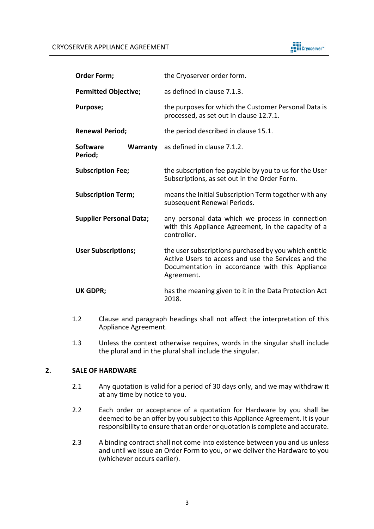

| <b>Order Form;</b>             |  | the Cryoserver order form.                                                                                                                                                    |  |
|--------------------------------|--|-------------------------------------------------------------------------------------------------------------------------------------------------------------------------------|--|
| <b>Permitted Objective;</b>    |  | as defined in clause 7.1.3.                                                                                                                                                   |  |
| Purpose;                       |  | the purposes for which the Customer Personal Data is<br>processed, as set out in clause 12.7.1.                                                                               |  |
| <b>Renewal Period;</b>         |  | the period described in clause 15.1.                                                                                                                                          |  |
| <b>Software</b><br>Period;     |  | Warranty as defined in clause 7.1.2.                                                                                                                                          |  |
| <b>Subscription Fee;</b>       |  | the subscription fee payable by you to us for the User<br>Subscriptions, as set out in the Order Form.                                                                        |  |
| <b>Subscription Term;</b>      |  | means the Initial Subscription Term together with any<br>subsequent Renewal Periods.                                                                                          |  |
| <b>Supplier Personal Data;</b> |  | any personal data which we process in connection<br>with this Appliance Agreement, in the capacity of a<br>controller.                                                        |  |
| <b>User Subscriptions;</b>     |  | the user subscriptions purchased by you which entitle<br>Active Users to access and use the Services and the<br>Documentation in accordance with this Appliance<br>Agreement. |  |
| <b>UK GDPR;</b>                |  | has the meaning given to it in the Data Protection Act<br>2018.                                                                                                               |  |

- 1.2 Clause and paragraph headings shall not affect the interpretation of this Appliance Agreement.
- 1.3 Unless the context otherwise requires, words in the singular shall include the plural and in the plural shall include the singular.

# **2. SALE OF HARDWARE**

- 2.1 Any quotation is valid for a period of 30 days only, and we may withdraw it at any time by notice to you.
- 2.2 Each order or acceptance of a quotation for Hardware by you shall be deemed to be an offer by you subject to this Appliance Agreement. It is your responsibility to ensure that an order or quotation is complete and accurate.
- 2.3 A binding contract shall not come into existence between you and us unless and until we issue an Order Form to you, or we deliver the Hardware to you (whichever occurs earlier).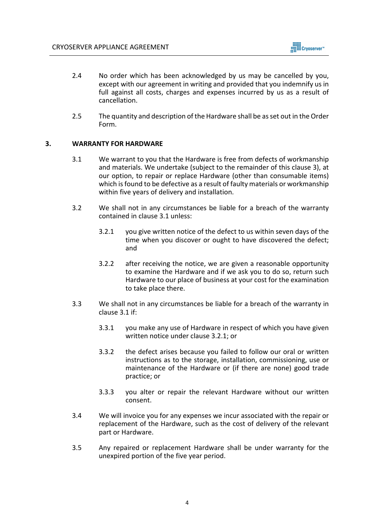

- 2.4 No order which has been acknowledged by us may be cancelled by you, except with our agreement in writing and provided that you indemnify us in full against all costs, charges and expenses incurred by us as a result of cancellation.
- 2.5 The quantity and description of the Hardware shall be as set out in the Order Form.

# **3. WARRANTY FOR HARDWARE**

- 3.1 We warrant to you that the Hardware is free from defects of workmanship and materials. We undertake (subject to the remainder of this clause 3), at our option, to repair or replace Hardware (other than consumable items) which is found to be defective as a result of faulty materials or workmanship within five years of delivery and installation.
- 3.2 We shall not in any circumstances be liable for a breach of the warranty contained in clause 3.1 unless:
	- 3.2.1 you give written notice of the defect to us within seven days of the time when you discover or ought to have discovered the defect; and
	- 3.2.2 after receiving the notice, we are given a reasonable opportunity to examine the Hardware and if we ask you to do so, return such Hardware to our place of business at your cost for the examination to take place there.
- 3.3 We shall not in any circumstances be liable for a breach of the warranty in clause 3.1 if:
	- 3.3.1 you make any use of Hardware in respect of which you have given written notice under clause 3.2.1; or
	- 3.3.2 the defect arises because you failed to follow our oral or written instructions as to the storage, installation, commissioning, use or maintenance of the Hardware or (if there are none) good trade practice; or
	- 3.3.3 you alter or repair the relevant Hardware without our written consent.
- 3.4 We will invoice you for any expenses we incur associated with the repair or replacement of the Hardware, such as the cost of delivery of the relevant part or Hardware.
- 3.5 Any repaired or replacement Hardware shall be under warranty for the unexpired portion of the five year period.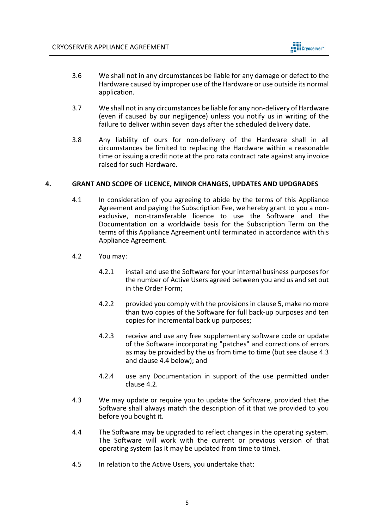

- 3.6 We shall not in any circumstances be liable for any damage or defect to the Hardware caused by improper use of the Hardware or use outside its normal application.
- 3.7 We shall not in any circumstances be liable for any non-delivery of Hardware (even if caused by our negligence) unless you notify us in writing of the failure to deliver within seven days after the scheduled delivery date.
- 3.8 Any liability of ours for non-delivery of the Hardware shall in all circumstances be limited to replacing the Hardware within a reasonable time or issuing a credit note at the pro rata contract rate against any invoice raised for such Hardware.

### **4. GRANT AND SCOPE OF LICENCE, MINOR CHANGES, UPDATES AND UPDGRADES**

- 4.1 In consideration of you agreeing to abide by the terms of this Appliance Agreement and paying the Subscription Fee, we hereby grant to you a nonexclusive, non-transferable licence to use the Software and the Documentation on a worldwide basis for the Subscription Term on the terms of this Appliance Agreement until terminated in accordance with this Appliance Agreement.
- 4.2 You may:
	- 4.2.1 install and use the Software for your internal business purposes for the number of Active Users agreed between you and us and set out in the Order Form;
	- 4.2.2 provided you comply with the provisions in clause 5, make no more than two copies of the Software for full back-up purposes and ten copies for incremental back up purposes;
	- 4.2.3 receive and use any free supplementary software code or update of the Software incorporating "patches" and corrections of errors as may be provided by the us from time to time (but see clause 4.3 and clause 4.4 below); and
	- 4.2.4 use any Documentation in support of the use permitted under clause 4.2.
- 4.3 We may update or require you to update the Software, provided that the Software shall always match the description of it that we provided to you before you bought it.
- 4.4 The Software may be upgraded to reflect changes in the operating system. The Software will work with the current or previous version of that operating system (as it may be updated from time to time).
- 4.5 In relation to the Active Users, you undertake that: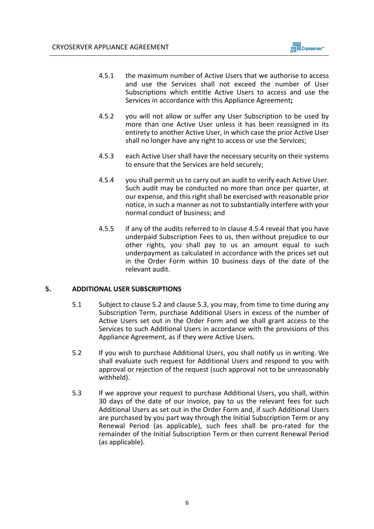

- 4.5.1 the maximum number of Active Users that we authorise to access and use the Services shall not exceed the number of User Subscriptions which entitle Active Users to access and use the Services in accordance with this Appliance Agreement**;**
- 4.5.2 you will not allow or suffer any User Subscription to be used by more than one Active User unless it has been reassigned in its entirety to another Active User, in which case the prior Active User shall no longer have any right to access or use the Services;
- 4.5.3 each Active User shall have the necessary security on their systems to ensure that the Services are held securely;
- 4.5.4 you shall permit us to carry out an audit to verify each Active User. Such audit may be conducted no more than once per quarter, at our expense, and this right shall be exercised with reasonable prior notice, in such a manner as not to substantially interfere with your normal conduct of business; and
- 4.5.5 if any of the audits referred to in clause 4.5.4 reveal that you have underpaid Subscription Fees to us, then without prejudice to our other rights, you shall pay to us an amount equal to such underpayment as calculated in accordance with the prices set out in the Order Form within 10 business days of the date of the relevant audit.

### **5. ADDITIONAL USER SUBSCRIPTIONS**

- 5.1 Subject to clause 5.2 and clause 5.3, you may, from time to time during any Subscription Term, purchase Additional Users in excess of the number of Active Users set out in the Order Form and we shall grant access to the Services to such Additional Users in accordance with the provisions of this Appliance Agreement, as if they were Active Users.
- 5.2 If you wish to purchase Additional Users, you shall notify us in writing. We shall evaluate such request for Additional Users and respond to you with approval or rejection of the request (such approval not to be unreasonably withheld).
- 5.3 If we approve your request to purchase Additional Users, you shall, within 30 days of the date of our invoice, pay to us the relevant fees for such Additional Users as set out in the Order Form and, if such Additional Users are purchased by you part way through the Initial Subscription Term or any Renewal Period (as applicable), such fees shall be pro-rated for the remainder of the Initial Subscription Term or then current Renewal Period (as applicable).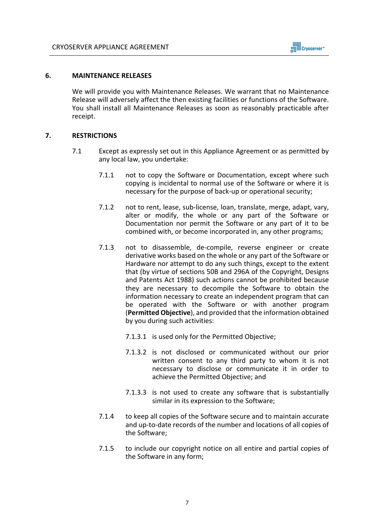

### **6. MAINTENANCE RELEASES**

We will provide you with Maintenance Releases. We warrant that no Maintenance Release will adversely affect the then existing facilities or functions of the Software. You shall install all Maintenance Releases as soon as reasonably practicable after receipt.

### **7. RESTRICTIONS**

- 7.1 Except as expressly set out in this Appliance Agreement or as permitted by any local law, you undertake:
	- 7.1.1 not to copy the Software or Documentation, except where such copying is incidental to normal use of the Software or where it is necessary for the purpose of back-up or operational security;
	- 7.1.2 not to rent, lease, sub-license, loan, translate, merge, adapt, vary, alter or modify, the whole or any part of the Software or Documentation nor permit the Software or any part of it to be combined with, or become incorporated in, any other programs;
	- 7.1.3 not to disassemble, de-compile, reverse engineer or create derivative works based on the whole or any part of the Software or Hardware nor attempt to do any such things, except to the extent that (by virtue of sections 50B and 296A of the Copyright, Designs and Patents Act 1988) such actions cannot be prohibited because they are necessary to decompile the Software to obtain the information necessary to create an independent program that can be operated with the Software or with another program (**Permitted Objective**), and provided that the information obtained by you during such activities:
		- 7.1.3.1 is used only for the Permitted Objective;
		- 7.1.3.2 is not disclosed or communicated without our prior written consent to any third party to whom it is not necessary to disclose or communicate it in order to achieve the Permitted Objective; and
		- 7.1.3.3 is not used to create any software that is substantially similar in its expression to the Software;
	- 7.1.4 to keep all copies of the Software secure and to maintain accurate and up-to-date records of the number and locations of all copies of the Software;
	- 7.1.5 to include our copyright notice on all entire and partial copies of the Software in any form;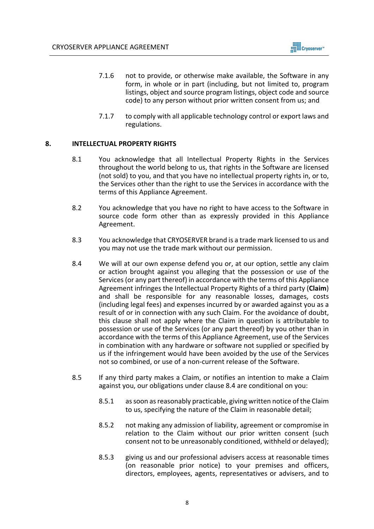

- 7.1.6 not to provide, or otherwise make available, the Software in any form, in whole or in part (including, but not limited to, program listings, object and source program listings, object code and source code) to any person without prior written consent from us; and
- 7.1.7 to comply with all applicable technology control or export laws and regulations.

## **8. INTELLECTUAL PROPERTY RIGHTS**

- 8.1 You acknowledge that all Intellectual Property Rights in the Services throughout the world belong to us, that rights in the Software are licensed (not sold) to you, and that you have no intellectual property rights in, or to, the Services other than the right to use the Services in accordance with the terms of this Appliance Agreement.
- 8.2 You acknowledge that you have no right to have access to the Software in source code form other than as expressly provided in this Appliance Agreement.
- 8.3 You acknowledge that CRYOSERVER brand is a trade mark licensed to us and you may not use the trade mark without our permission.
- 8.4 We will at our own expense defend you or, at our option, settle any claim or action brought against you alleging that the possession or use of the Services(or any part thereof) in accordance with the terms of this Appliance Agreement infringes the Intellectual Property Rights of a third party (**Claim**) and shall be responsible for any reasonable losses, damages, costs (including legal fees) and expenses incurred by or awarded against you as a result of or in connection with any such Claim. For the avoidance of doubt, this clause shall not apply where the Claim in question is attributable to possession or use of the Services (or any part thereof) by you other than in accordance with the terms of this Appliance Agreement, use of the Services in combination with any hardware or software not supplied or specified by us if the infringement would have been avoided by the use of the Services not so combined, or use of a non-current release of the Software.
- 8.5 If any third party makes a Claim, or notifies an intention to make a Claim against you, our obligations under clause 8.4 are conditional on you:
	- 8.5.1 as soon as reasonably practicable, giving written notice of the Claim to us, specifying the nature of the Claim in reasonable detail;
	- 8.5.2 not making any admission of liability, agreement or compromise in relation to the Claim without our prior written consent (such consent not to be unreasonably conditioned, withheld or delayed);
	- 8.5.3 giving us and our professional advisers access at reasonable times (on reasonable prior notice) to your premises and officers, directors, employees, agents, representatives or advisers, and to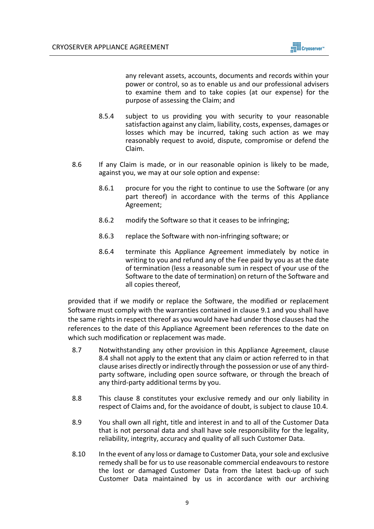

any relevant assets, accounts, documents and records within your power or control, so as to enable us and our professional advisers to examine them and to take copies (at our expense) for the purpose of assessing the Claim; and

- 8.5.4 subject to us providing you with security to your reasonable satisfaction against any claim, liability, costs, expenses, damages or losses which may be incurred, taking such action as we may reasonably request to avoid, dispute, compromise or defend the Claim.
- 8.6 If any Claim is made, or in our reasonable opinion is likely to be made, against you, we may at our sole option and expense:
	- 8.6.1 procure for you the right to continue to use the Software (or any part thereof) in accordance with the terms of this Appliance Agreement;
	- 8.6.2 modify the Software so that it ceases to be infringing;
	- 8.6.3 replace the Software with non-infringing software; or
	- 8.6.4 terminate this Appliance Agreement immediately by notice in writing to you and refund any of the Fee paid by you as at the date of termination (less a reasonable sum in respect of your use of the Software to the date of termination) on return of the Software and all copies thereof,

provided that if we modify or replace the Software, the modified or replacement Software must comply with the warranties contained in clause 9.1 and you shall have the same rights in respect thereof as you would have had under those clauses had the references to the date of this Appliance Agreement been references to the date on which such modification or replacement was made.

- 8.7 Notwithstanding any other provision in this Appliance Agreement, clause 8.4 shall not apply to the extent that any claim or action referred to in that clause arises directly or indirectly through the possession or use of any thirdparty software, including open source software, or through the breach of any third-party additional terms by you.
- 8.8 This clause 8 constitutes your exclusive remedy and our only liability in respect of Claims and, for the avoidance of doubt, is subject to clause 10.4.
- 8.9 You shall own all right, title and interest in and to all of the Customer Data that is not personal data and shall have sole responsibility for the legality, reliability, integrity, accuracy and quality of all such Customer Data.
- 8.10 In the event of any loss or damage to Customer Data, your sole and exclusive remedy shall be for us to use reasonable commercial endeavours to restore the lost or damaged Customer Data from the latest back-up of such Customer Data maintained by us in accordance with our archiving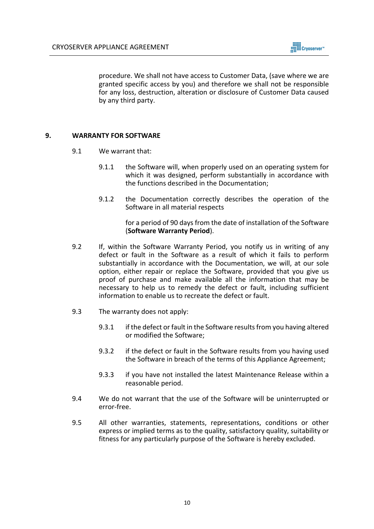

procedure. We shall not have access to Customer Data, (save where we are granted specific access by you) and therefore we shall not be responsible for any loss, destruction, alteration or disclosure of Customer Data caused by any third party.

## **9. WARRANTY FOR SOFTWARE**

- 9.1 We warrant that:
	- 9.1.1 the Software will, when properly used on an operating system for which it was designed, perform substantially in accordance with the functions described in the Documentation;
	- 9.1.2 the Documentation correctly describes the operation of the Software in all material respects

for a period of 90 days from the date of installation of the Software (**Software Warranty Period**).

- 9.2 If, within the Software Warranty Period, you notify us in writing of any defect or fault in the Software as a result of which it fails to perform substantially in accordance with the Documentation, we will, at our sole option, either repair or replace the Software, provided that you give us proof of purchase and make available all the information that may be necessary to help us to remedy the defect or fault, including sufficient information to enable us to recreate the defect or fault.
- 9.3 The warranty does not apply:
	- 9.3.1 if the defect or fault in the Software results from you having altered or modified the Software;
	- 9.3.2 if the defect or fault in the Software results from you having used the Software in breach of the terms of this Appliance Agreement;
	- 9.3.3 if you have not installed the latest Maintenance Release within a reasonable period.
- 9.4 We do not warrant that the use of the Software will be uninterrupted or error-free.
- 9.5 All other warranties, statements, representations, conditions or other express or implied terms as to the quality, satisfactory quality, suitability or fitness for any particularly purpose of the Software is hereby excluded.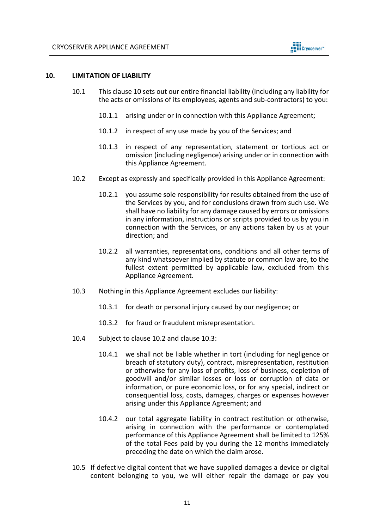

### **10. LIMITATION OF LIABILITY**

- 10.1 This clause 10 sets out our entire financial liability (including any liability for the acts or omissions of its employees, agents and sub-contractors) to you:
	- 10.1.1 arising under or in connection with this Appliance Agreement;
	- 10.1.2 in respect of any use made by you of the Services; and
	- 10.1.3 in respect of any representation, statement or tortious act or omission (including negligence) arising under or in connection with this Appliance Agreement.
- 10.2 Except as expressly and specifically provided in this Appliance Agreement:
	- 10.2.1 you assume sole responsibility for results obtained from the use of the Services by you, and for conclusions drawn from such use. We shall have no liability for any damage caused by errors or omissions in any information, instructions or scripts provided to us by you in connection with the Services, or any actions taken by us at your direction; and
	- 10.2.2 all warranties, representations, conditions and all other terms of any kind whatsoever implied by statute or common law are, to the fullest extent permitted by applicable law, excluded from this Appliance Agreement.
- 10.3 Nothing in this Appliance Agreement excludes our liability:
	- 10.3.1 for death or personal injury caused by our negligence; or
	- 10.3.2 for fraud or fraudulent misrepresentation.
- 10.4 Subject to clause 10.2 and clause 10.3:
	- 10.4.1 we shall not be liable whether in tort (including for negligence or breach of statutory duty), contract, misrepresentation, restitution or otherwise for any loss of profits, loss of business, depletion of goodwill and/or similar losses or loss or corruption of data or information, or pure economic loss, or for any special, indirect or consequential loss, costs, damages, charges or expenses however arising under this Appliance Agreement; and
	- 10.4.2 our total aggregate liability in contract restitution or otherwise, arising in connection with the performance or contemplated performance of this Appliance Agreement shall be limited to 125% of the total Fees paid by you during the 12 months immediately preceding the date on which the claim arose.
- 10.5 If defective digital content that we have supplied damages a device or digital content belonging to you, we will either repair the damage or pay you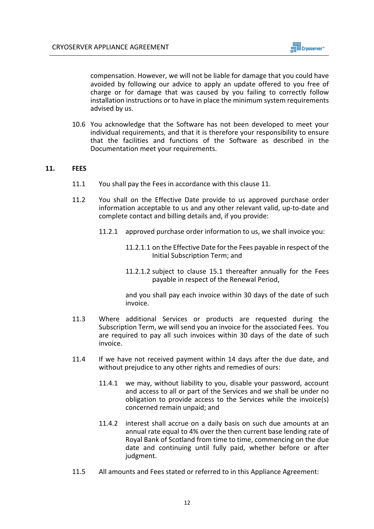

compensation. However, we will not be liable for damage that you could have avoided by following our advice to apply an update offered to you free of charge or for damage that was caused by you failing to correctly follow installation instructions or to have in place the minimum system requirements advised by us.

10.6 You acknowledge that the Software has not been developed to meet your individual requirements, and that it is therefore your responsibility to ensure that the facilities and functions of the Software as described in the Documentation meet your requirements.

## **11. FEES**

- 11.1 You shall pay the Fees in accordance with this clause 11.
- 11.2 You shall on the Effective Date provide to us approved purchase order information acceptable to us and any other relevant valid, up-to-date and complete contact and billing details and, if you provide:
	- 11.2.1 approved purchase order information to us, we shall invoice you:
		- 11.2.1.1 on the Effective Date for the Fees payable in respect of the Initial Subscription Term; and
		- 11.2.1.2 subject to clause 15.1 thereafter annually for the Fees payable in respect of the Renewal Period,

and you shall pay each invoice within 30 days of the date of such invoice.

- 11.3 Where additional Services or products are requested during the Subscription Term, we will send you an invoice for the associated Fees. You are required to pay all such invoices within 30 days of the date of such invoice.
- 11.4 If we have not received payment within 14 days after the due date, and without prejudice to any other rights and remedies of ours:
	- 11.4.1 we may, without liability to you, disable your password, account and access to all or part of the Services and we shall be under no obligation to provide access to the Services while the invoice(s) concerned remain unpaid; and
	- 11.4.2 interest shall accrue on a daily basis on such due amounts at an annual rate equal to 4% over the then current base lending rate of Royal Bank of Scotland from time to time, commencing on the due date and continuing until fully paid, whether before or after judgment.
- 11.5 All amounts and Fees stated or referred to in this Appliance Agreement: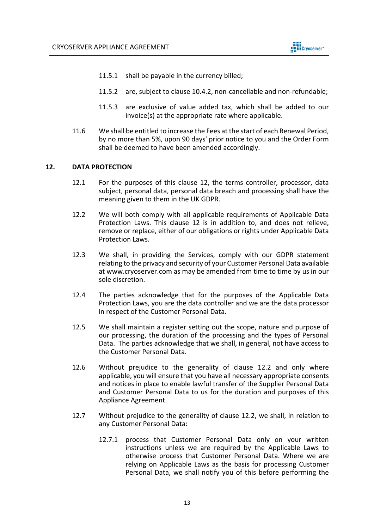

- 11.5.1 shall be payable in the currency billed;
- 11.5.2 are, subject to clause 10.4.2, non-cancellable and non-refundable;
- 11.5.3 are exclusive of value added tax, which shall be added to our invoice(s) at the appropriate rate where applicable.
- 11.6 We shall be entitled to increase the Fees at the start of each Renewal Period, by no more than 5%, upon 90 days' prior notice to you and the Order Form shall be deemed to have been amended accordingly.

#### **12. DATA PROTECTION**

- 12.1 For the purposes of this clause 12, the terms controller, processor, data subject, personal data, personal data breach and processing shall have the meaning given to them in the UK GDPR.
- 12.2 We will both comply with all applicable requirements of Applicable Data Protection Laws. This clause 12 is in addition to, and does not relieve, remove or replace, either of our obligations or rights under Applicable Data Protection Laws.
- 12.3 We shall, in providing the Services, comply with our GDPR statement relating to the privacy and security of your Customer Personal Data available at www.cryoserver.com as may be amended from time to time by us in our sole discretion.
- 12.4 The parties acknowledge that for the purposes of the Applicable Data Protection Laws, you are the data controller and we are the data processor in respect of the Customer Personal Data.
- 12.5 We shall maintain a register setting out the scope, nature and purpose of our processing, the duration of the processing and the types of Personal Data. The parties acknowledge that we shall, in general, not have access to the Customer Personal Data.
- 12.6 Without prejudice to the generality of clause 12.2 and only where applicable, you will ensure that you have all necessary appropriate consents and notices in place to enable lawful transfer of the Supplier Personal Data and Customer Personal Data to us for the duration and purposes of this Appliance Agreement.
- 12.7 Without prejudice to the generality of clause 12.2, we shall, in relation to any Customer Personal Data:
	- 12.7.1 process that Customer Personal Data only on your written instructions unless we are required by the Applicable Laws to otherwise process that Customer Personal Data. Where we are relying on Applicable Laws as the basis for processing Customer Personal Data, we shall notify you of this before performing the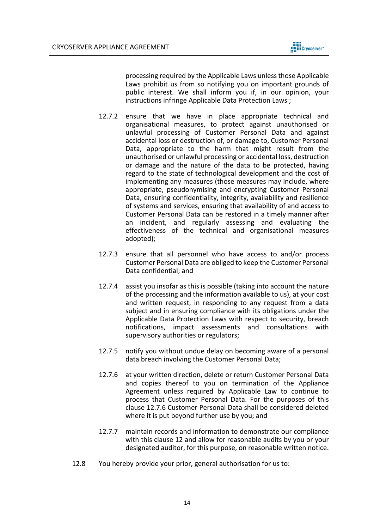processing required by the Applicable Laws unless those Applicable Laws prohibit us from so notifying you on important grounds of public interest. We shall inform you if, in our opinion, your instructions infringe Applicable Data Protection Laws ;

- 12.7.2 ensure that we have in place appropriate technical and organisational measures, to protect against unauthorised or unlawful processing of Customer Personal Data and against accidental loss or destruction of, or damage to, Customer Personal Data, appropriate to the harm that might result from the unauthorised or unlawful processing or accidental loss, destruction or damage and the nature of the data to be protected, having regard to the state of technological development and the cost of implementing any measures (those measures may include, where appropriate, pseudonymising and encrypting Customer Personal Data, ensuring confidentiality, integrity, availability and resilience of systems and services, ensuring that availability of and access to Customer Personal Data can be restored in a timely manner after an incident, and regularly assessing and evaluating the effectiveness of the technical and organisational measures adopted);
- 12.7.3 ensure that all personnel who have access to and/or process Customer Personal Data are obliged to keep the Customer Personal Data confidential; and
- 12.7.4 assist you insofar as this is possible (taking into account the nature of the processing and the information available to us), at your cost and written request, in responding to any request from a data subject and in ensuring compliance with its obligations under the Applicable Data Protection Laws with respect to security, breach notifications, impact assessments and consultations with supervisory authorities or regulators;
- 12.7.5 notify you without undue delay on becoming aware of a personal data breach involving the Customer Personal Data;
- 12.7.6 at your written direction, delete or return Customer Personal Data and copies thereof to you on termination of the Appliance Agreement unless required by Applicable Law to continue to process that Customer Personal Data. For the purposes of this clause 12.7.6 Customer Personal Data shall be considered deleted where it is put beyond further use by you; and
- 12.7.7 maintain records and information to demonstrate our compliance with this clause 12 and allow for reasonable audits by you or your designated auditor, for this purpose, on reasonable written notice.
- 12.8 You hereby provide your prior, general authorisation for us to: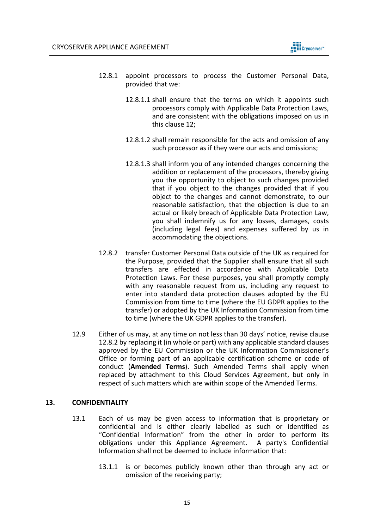

- 12.8.1 appoint processors to process the Customer Personal Data, provided that we:
	- 12.8.1.1 shall ensure that the terms on which it appoints such processors comply with Applicable Data Protection Laws, and are consistent with the obligations imposed on us in this clause 12;
	- 12.8.1.2 shall remain responsible for the acts and omission of any such processor as if they were our acts and omissions;
	- 12.8.1.3 shall inform you of any intended changes concerning the addition or replacement of the processors, thereby giving you the opportunity to object to such changes provided that if you object to the changes provided that if you object to the changes and cannot demonstrate, to our reasonable satisfaction, that the objection is due to an actual or likely breach of Applicable Data Protection Law, you shall indemnify us for any losses, damages, costs (including legal fees) and expenses suffered by us in accommodating the objections.
- 12.8.2 transfer Customer Personal Data outside of the UK as required for the Purpose, provided that the Supplier shall ensure that all such transfers are effected in accordance with Applicable Data Protection Laws. For these purposes, you shall promptly comply with any reasonable request from us, including any request to enter into standard data protection clauses adopted by the EU Commission from time to time (where the EU GDPR applies to the transfer) or adopted by the UK Information Commission from time to time (where the UK GDPR applies to the transfer).
- 12.9 Either of us may, at any time on not less than 30 days' notice, revise clause 12.8.2 by replacing it (in whole or part) with any applicable standard clauses approved by the EU Commission or the UK Information Commissioner's Office or forming part of an applicable certification scheme or code of conduct (**Amended Terms**). Such Amended Terms shall apply when replaced by attachment to this Cloud Services Agreement, but only in respect of such matters which are within scope of the Amended Terms.

## **13. CONFIDENTIALITY**

- 13.1 Each of us may be given access to information that is proprietary or confidential and is either clearly labelled as such or identified as "Confidential Information" from the other in order to perform its obligations under this Appliance Agreement. A party's Confidential Information shall not be deemed to include information that:
	- 13.1.1 is or becomes publicly known other than through any act or omission of the receiving party;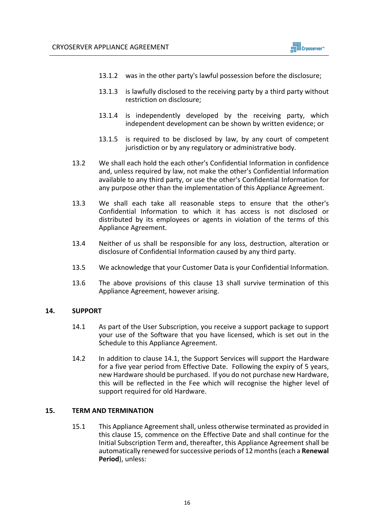- 13.1.2 was in the other party's lawful possession before the disclosure;
- 13.1.3 is lawfully disclosed to the receiving party by a third party without restriction on disclosure;
- 13.1.4 is independently developed by the receiving party, which independent development can be shown by written evidence; or
- 13.1.5 is required to be disclosed by law, by any court of competent jurisdiction or by any regulatory or administrative body.
- 13.2 We shall each hold the each other's Confidential Information in confidence and, unless required by law, not make the other's Confidential Information available to any third party, or use the other's Confidential Information for any purpose other than the implementation of this Appliance Agreement.
- 13.3 We shall each take all reasonable steps to ensure that the other's Confidential Information to which it has access is not disclosed or distributed by its employees or agents in violation of the terms of this Appliance Agreement.
- 13.4 Neither of us shall be responsible for any loss, destruction, alteration or disclosure of Confidential Information caused by any third party.
- 13.5 We acknowledge that your Customer Data is your Confidential Information.
- 13.6 The above provisions of this clause 13 shall survive termination of this Appliance Agreement, however arising.

### **14. SUPPORT**

- 14.1 As part of the User Subscription, you receive a support package to support your use of the Software that you have licensed, which is set out in the Schedule to this Appliance Agreement.
- 14.2 In addition to clause 14.1, the Support Services will support the Hardware for a five year period from Effective Date. Following the expiry of 5 years, new Hardware should be purchased. If you do not purchase new Hardware, this will be reflected in the Fee which will recognise the higher level of support required for old Hardware.

### **15. TERM AND TERMINATION**

15.1 This Appliance Agreement shall, unless otherwise terminated as provided in this clause 15, commence on the Effective Date and shall continue for the Initial Subscription Term and, thereafter, this Appliance Agreement shall be automatically renewed for successive periods of 12 months (each a **Renewal Period**), unless: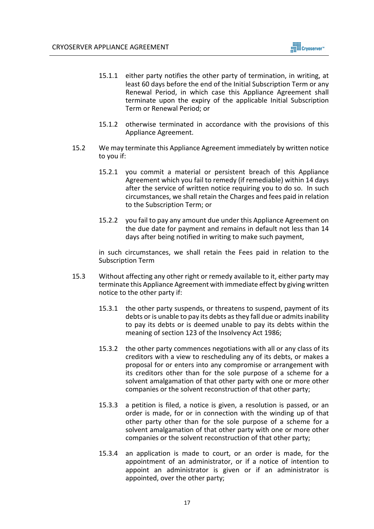- 15.1.1 either party notifies the other party of termination, in writing, at least 60 days before the end of the Initial Subscription Term or any Renewal Period, in which case this Appliance Agreement shall terminate upon the expiry of the applicable Initial Subscription Term or Renewal Period; or
- 15.1.2 otherwise terminated in accordance with the provisions of this Appliance Agreement.
- 15.2 We may terminate this Appliance Agreement immediately by written notice to you if:
	- 15.2.1 you commit a material or persistent breach of this Appliance Agreement which you fail to remedy (if remediable) within 14 days after the service of written notice requiring you to do so. In such circumstances, we shall retain the Charges and fees paid in relation to the Subscription Term; or
	- 15.2.2 you fail to pay any amount due under this Appliance Agreement on the due date for payment and remains in default not less than 14 days after being notified in writing to make such payment,

in such circumstances, we shall retain the Fees paid in relation to the Subscription Term

- 15.3 Without affecting any other right or remedy available to it, either party may terminate this Appliance Agreement with immediate effect by giving written notice to the other party if:
	- 15.3.1 the other party suspends, or threatens to suspend, payment of its debts or is unable to pay its debts as they fall due or admits inability to pay its debts or is deemed unable to pay its debts within the meaning of section 123 of the Insolvency Act 1986;
	- 15.3.2 the other party commences negotiations with all or any class of its creditors with a view to rescheduling any of its debts, or makes a proposal for or enters into any compromise or arrangement with its creditors other than for the sole purpose of a scheme for a solvent amalgamation of that other party with one or more other companies or the solvent reconstruction of that other party;
	- 15.3.3 a petition is filed, a notice is given, a resolution is passed, or an order is made, for or in connection with the winding up of that other party other than for the sole purpose of a scheme for a solvent amalgamation of that other party with one or more other companies or the solvent reconstruction of that other party;
	- 15.3.4 an application is made to court, or an order is made, for the appointment of an administrator, or if a notice of intention to appoint an administrator is given or if an administrator is appointed, over the other party;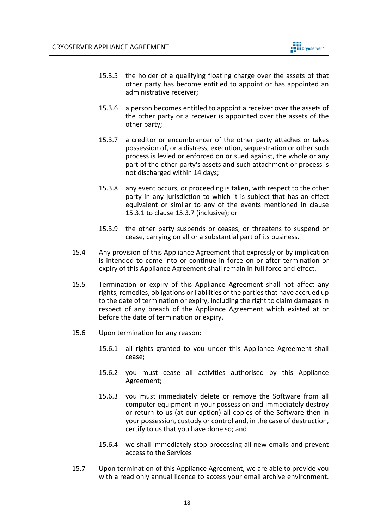

- 15.3.5 the holder of a qualifying floating charge over the assets of that other party has become entitled to appoint or has appointed an administrative receiver;
- 15.3.6 a person becomes entitled to appoint a receiver over the assets of the other party or a receiver is appointed over the assets of the other party;
- 15.3.7 a creditor or encumbrancer of the other party attaches or takes possession of, or a distress, execution, sequestration or other such process is levied or enforced on or sued against, the whole or any part of the other party's assets and such attachment or process is not discharged within 14 days;
- 15.3.8 any event occurs, or proceeding is taken, with respect to the other party in any jurisdiction to which it is subject that has an effect equivalent or similar to any of the events mentioned in clause 15.3.1 to clause 15.3.7 (inclusive); or
- 15.3.9 the other party suspends or ceases, or threatens to suspend or cease, carrying on all or a substantial part of its business.
- 15.4 Any provision of this Appliance Agreement that expressly or by implication is intended to come into or continue in force on or after termination or expiry of this Appliance Agreement shall remain in full force and effect.
- 15.5 Termination or expiry of this Appliance Agreement shall not affect any rights, remedies, obligations or liabilities of the parties that have accrued up to the date of termination or expiry, including the right to claim damages in respect of any breach of the Appliance Agreement which existed at or before the date of termination or expiry.
- 15.6 Upon termination for any reason:
	- 15.6.1 all rights granted to you under this Appliance Agreement shall cease;
	- 15.6.2 you must cease all activities authorised by this Appliance Agreement;
	- 15.6.3 you must immediately delete or remove the Software from all computer equipment in your possession and immediately destroy or return to us (at our option) all copies of the Software then in your possession, custody or control and, in the case of destruction, certify to us that you have done so; and
	- 15.6.4 we shall immediately stop processing all new emails and prevent access to the Services
- 15.7 Upon termination of this Appliance Agreement, we are able to provide you with a read only annual licence to access your email archive environment.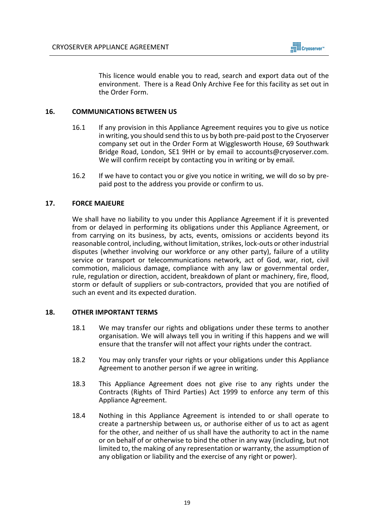

This licence would enable you to read, search and export data out of the environment. There is a Read Only Archive Fee for this facility as set out in the Order Form.

## **16. COMMUNICATIONS BETWEEN US**

- 16.1 If any provision in this Appliance Agreement requires you to give us notice in writing, you should send this to us by both pre-paid post to the Cryoserver company set out in the Order Form at Wigglesworth House, 69 Southwark Bridge Road, London, SE1 9HH or by email to accounts@cryoserver.com. We will confirm receipt by contacting you in writing or by email.
- 16.2 If we have to contact you or give you notice in writing, we will do so by prepaid post to the address you provide or confirm to us.

# **17. FORCE MAJEURE**

We shall have no liability to you under this Appliance Agreement if it is prevented from or delayed in performing its obligations under this Appliance Agreement, or from carrying on its business, by acts, events, omissions or accidents beyond its reasonable control, including, without limitation, strikes, lock-outs or other industrial disputes (whether involving our workforce or any other party), failure of a utility service or transport or telecommunications network, act of God, war, riot, civil commotion, malicious damage, compliance with any law or governmental order, rule, regulation or direction, accident, breakdown of plant or machinery, fire, flood, storm or default of suppliers or sub-contractors, provided that you are notified of such an event and its expected duration.

### **18. OTHER IMPORTANT TERMS**

- 18.1 We may transfer our rights and obligations under these terms to another organisation. We will always tell you in writing if this happens and we will ensure that the transfer will not affect your rights under the contract.
- 18.2 You may only transfer your rights or your obligations under this Appliance Agreement to another person if we agree in writing.
- 18.3 This Appliance Agreement does not give rise to any rights under the Contracts (Rights of Third Parties) Act 1999 to enforce any term of this Appliance Agreement.
- 18.4 Nothing in this Appliance Agreement is intended to or shall operate to create a partnership between us, or authorise either of us to act as agent for the other, and neither of us shall have the authority to act in the name or on behalf of or otherwise to bind the other in any way (including, but not limited to, the making of any representation or warranty, the assumption of any obligation or liability and the exercise of any right or power).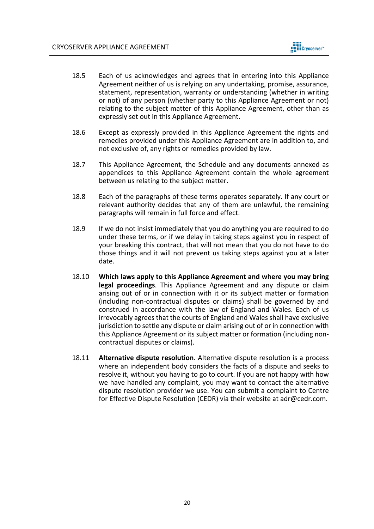- 18.5 Each of us acknowledges and agrees that in entering into this Appliance Agreement neither of us is relying on any undertaking, promise, assurance, statement, representation, warranty or understanding (whether in writing or not) of any person (whether party to this Appliance Agreement or not) relating to the subject matter of this Appliance Agreement, other than as expressly set out in this Appliance Agreement.
- 18.6 Except as expressly provided in this Appliance Agreement the rights and remedies provided under this Appliance Agreement are in addition to, and not exclusive of, any rights or remedies provided by law.
- 18.7 This Appliance Agreement, the Schedule and any documents annexed as appendices to this Appliance Agreement contain the whole agreement between us relating to the subject matter.
- 18.8 Each of the paragraphs of these terms operates separately. If any court or relevant authority decides that any of them are unlawful, the remaining paragraphs will remain in full force and effect.
- 18.9 If we do not insist immediately that you do anything you are required to do under these terms, or if we delay in taking steps against you in respect of your breaking this contract, that will not mean that you do not have to do those things and it will not prevent us taking steps against you at a later date.
- 18.10 **Which laws apply to this Appliance Agreement and where you may bring legal proceedings**. This Appliance Agreement and any dispute or claim arising out of or in connection with it or its subject matter or formation (including non-contractual disputes or claims) shall be governed by and construed in accordance with the law of England and Wales. Each of us irrevocably agrees that the courts of England and Wales shall have exclusive jurisdiction to settle any dispute or claim arising out of or in connection with this Appliance Agreement or its subject matter or formation (including noncontractual disputes or claims).
- 18.11 **Alternative dispute resolution**. Alternative dispute resolution is a process where an independent body considers the facts of a dispute and seeks to resolve it, without you having to go to court. If you are not happy with how we have handled any complaint, you may want to contact the alternative dispute resolution provider we use. You can submit a complaint to Centre for Effective Dispute Resolution (CEDR) via their website at adr@cedr.com.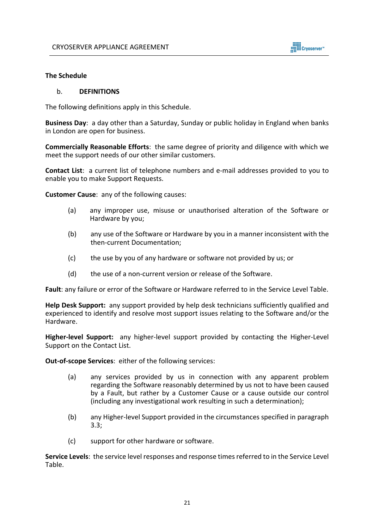

### **The Schedule**

#### b. **DEFINITIONS**

The following definitions apply in this Schedule.

**Business Day**: a day other than a Saturday, Sunday or public holiday in England when banks in London are open for business.

**Commercially Reasonable Efforts**: the same degree of priority and diligence with which we meet the support needs of our other similar customers.

**Contact List**: a current list of telephone numbers and e-mail addresses provided to you to enable you to make Support Requests.

**Customer Cause**: any of the following causes:

- (a) any improper use, misuse or unauthorised alteration of the Software or Hardware by you;
- (b) any use of the Software or Hardware by you in a manner inconsistent with the then-current Documentation;
- (c) the use by you of any hardware or software not provided by us; or
- (d) the use of a non-current version or release of the Software.

**Fault**: any failure or error of the Software or Hardware referred to in the Service Level Table.

**Help Desk Support:** any support provided by help desk technicians sufficiently qualified and experienced to identify and resolve most support issues relating to the Software and/or the Hardware.

**Higher-level Support:** any higher-level support provided by contacting the Higher-Level Support on the Contact List.

**Out-of-scope Services**: either of the following services:

- (a) any services provided by us in connection with any apparent problem regarding the Software reasonably determined by us not to have been caused by a Fault, but rather by a Customer Cause or a cause outside our control (including any investigational work resulting in such a determination);
- (b) any Higher-level Support provided in the circumstances specified in paragraph 3.3;
- (c) support for other hardware or software.

**Service Levels**: the service level responses and response times referred to in the Service Level Table.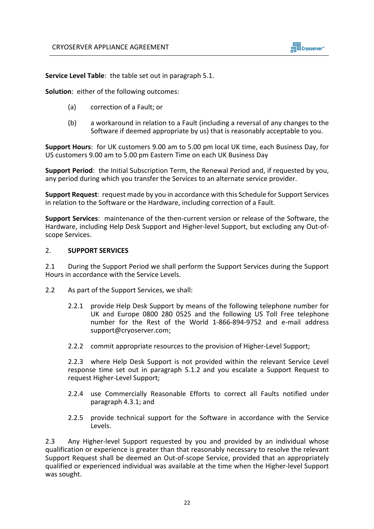

**Service Level Table**: the table set out in paragraph 5.1.

**Solution**: either of the following outcomes:

- (a) correction of a Fault; or
- (b) a workaround in relation to a Fault (including a reversal of any changes to the Software if deemed appropriate by us) that is reasonably acceptable to you.

**Support Hours**: for UK customers 9.00 am to 5.00 pm local UK time, each Business Day, for US customers 9.00 am to 5.00 pm Eastern Time on each UK Business Day

**Support Period**: the Initial Subscription Term, the Renewal Period and, if requested by you, any period during which you transfer the Services to an alternate service provider.

**Support Request**: request made by you in accordance with this Schedule for Support Services in relation to the Software or the Hardware, including correction of a Fault.

**Support Services**: maintenance of the then-current version or release of the Software, the Hardware, including Help Desk Support and Higher-level Support, but excluding any Out-ofscope Services.

#### 2. **SUPPORT SERVICES**

2.1 During the Support Period we shall perform the Support Services during the Support Hours in accordance with the Service Levels.

- 2.2 As part of the Support Services, we shall:
	- 2.2.1 provide Help Desk Support by means of the following telephone number for UK and Europe 0800 280 0525 and the following US Toll Free telephone number for the Rest of the World 1-866-894-9752 and e-mail address support@cryoserver.com;
	- 2.2.2 commit appropriate resources to the provision of Higher-Level Support;

2.2.3 where Help Desk Support is not provided within the relevant Service Level response time set out in paragraph 5.1.2 and you escalate a Support Request to request Higher-Level Support;

- 2.2.4 use Commercially Reasonable Efforts to correct all Faults notified under paragraph 4.3.1; and
- 2.2.5 provide technical support for the Software in accordance with the Service Levels.

2.3 Any Higher-level Support requested by you and provided by an individual whose qualification or experience is greater than that reasonably necessary to resolve the relevant Support Request shall be deemed an Out-of-scope Service, provided that an appropriately qualified or experienced individual was available at the time when the Higher-level Support was sought.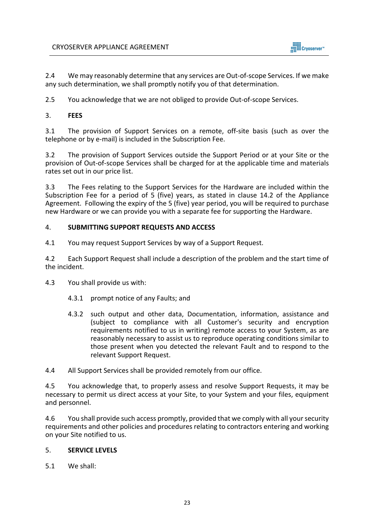

2.4 We may reasonably determine that any services are Out-of-scope Services. If we make any such determination, we shall promptly notify you of that determination.

2.5 You acknowledge that we are not obliged to provide Out-of-scope Services.

# 3. **FEES**

3.1 The provision of Support Services on a remote, off-site basis (such as over the telephone or by e-mail) is included in the Subscription Fee.

3.2 The provision of Support Services outside the Support Period or at your Site or the provision of Out-of-scope Services shall be charged for at the applicable time and materials rates set out in our price list.

3.3 The Fees relating to the Support Services for the Hardware are included within the Subscription Fee for a period of 5 (five) years, as stated in clause 14.2 of the Appliance Agreement. Following the expiry of the 5 (five) year period, you will be required to purchase new Hardware or we can provide you with a separate fee for supporting the Hardware.

# 4. **SUBMITTING SUPPORT REQUESTS AND ACCESS**

4.1 You may request Support Services by way of a Support Request.

4.2 Each Support Request shall include a description of the problem and the start time of the incident.

4.3 You shall provide us with:

- 4.3.1 prompt notice of any Faults; and
- 4.3.2 such output and other data, Documentation, information, assistance and (subject to compliance with all Customer's security and encryption requirements notified to us in writing) remote access to your System, as are reasonably necessary to assist us to reproduce operating conditions similar to those present when you detected the relevant Fault and to respond to the relevant Support Request.

4.4 All Support Services shall be provided remotely from our office.

4.5 You acknowledge that, to properly assess and resolve Support Requests, it may be necessary to permit us direct access at your Site, to your System and your files, equipment and personnel.

4.6 You shall provide such access promptly, provided that we comply with all your security requirements and other policies and procedures relating to contractors entering and working on your Site notified to us.

# 5. **SERVICE LEVELS**

5.1 We shall: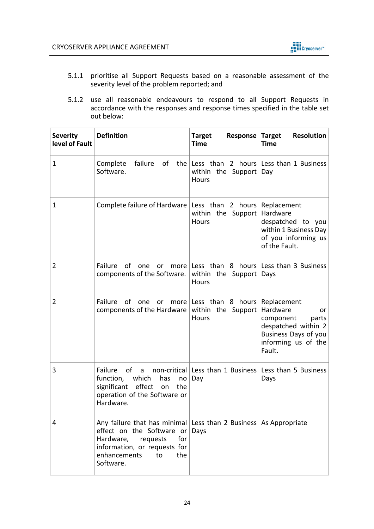

- 5.1.1 prioritise all Support Requests based on a reasonable assessment of the severity level of the problem reported; and
- 5.1.2 use all reasonable endeavours to respond to all Support Requests in accordance with the responses and response times specified in the table set out below:

| <b>Severity</b><br>level of Fault | <b>Definition</b>                                                                                                                                                                                       | <b>Target</b><br><b>Response Target</b><br><b>Time</b>            | <b>Resolution</b><br><b>Time</b>                                                                                     |
|-----------------------------------|---------------------------------------------------------------------------------------------------------------------------------------------------------------------------------------------------------|-------------------------------------------------------------------|----------------------------------------------------------------------------------------------------------------------|
| $\mathbf 1$                       | Complete<br>Software.                                                                                                                                                                                   | within the Support Day<br>Hours                                   | failure of the Less than 2 hours Less than 1 Business                                                                |
| 1                                 | Complete failure of Hardware   Less than 2 hours                                                                                                                                                        | within the Support<br>Hours                                       | Replacement<br>Hardware<br>despatched to you<br>within 1 Business Day<br>of you informing us<br>of the Fault.        |
| 2                                 | Failure<br>of<br>one<br>or<br>components of the Software.                                                                                                                                               | within the Support<br>Hours                                       | more Less than 8 hours Less than 3 Business<br>Days                                                                  |
| $\overline{2}$                    | Failure of<br>one<br><u>or</u><br>components of the Hardware                                                                                                                                            | more Less than 8 hours Replacement<br>within the Support<br>Hours | Hardware<br>or<br>component<br>parts<br>despatched within 2<br>Business Days of you<br>informing us of the<br>Fault. |
| 3                                 | Failure<br>0f<br>a<br>function,<br>which<br>has<br>no<br>significant<br>effect<br>the<br>on<br>operation of the Software or<br>Hardware.                                                                | Day                                                               | non-critical Less than 1 Business Less than 5 Business<br>Days                                                       |
| 4                                 | Any failure that has minimal Less than 2 Business As Appropriate<br>effect on the Software or<br>Hardware,<br>for<br>requests<br>information, or requests for<br>enhancements<br>to<br>the<br>Software. | Days                                                              |                                                                                                                      |